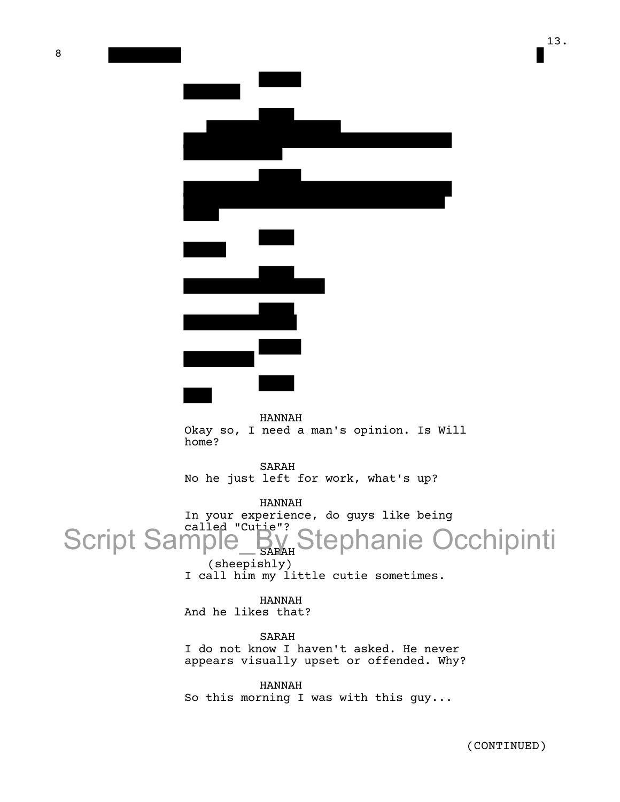13.

| $\overline{\phantom{0}}$                                                                                              |
|-----------------------------------------------------------------------------------------------------------------------|
|                                                                                                                       |
|                                                                                                                       |
| <u> Tanzania de San Francia de San Francia de San Francia de San Francia de San Francia de San Francia de San Fra</u> |
|                                                                                                                       |

HANNAH

Okay so, I need a man's opinion. Is Will home?

SARAH No he just left for work, what's up?

HANNAH In your experience, do guys like being Script Sample By Script Sample\_By Stephanie Occhipinti

(sheepishly) I call him my little cutie sometimes.

HANNAH And he likes that?

SARAH I do not know I haven't asked. He never appears visually upset or offended. Why?

HANNAH So this morning I was with this guy...

(CONTINUED)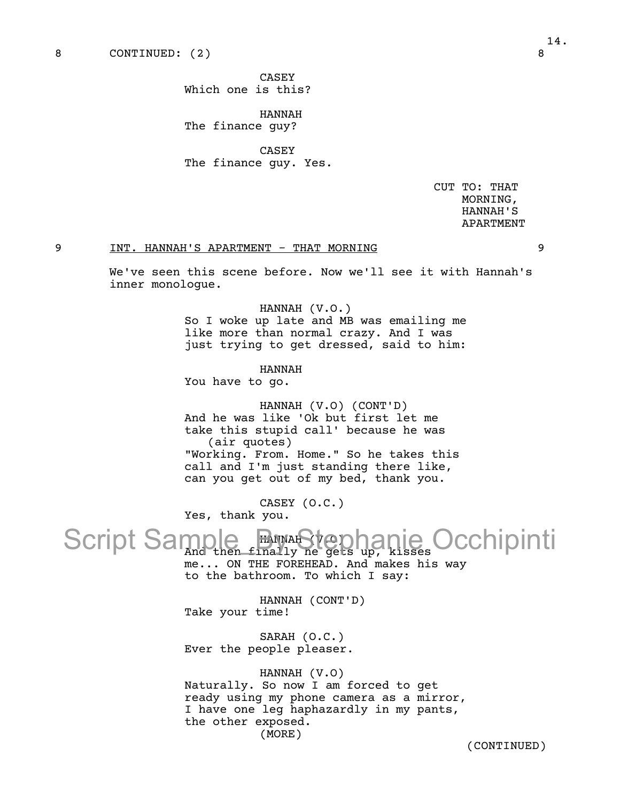8 CONTINUED: (2) 8

CASEY Which one is this?

HANNAH The finance guy?

CASEY The finance guy. Yes.

> CUT TO: THAT MORNING, HANNAH'S APARTMENT

## 9 INT. HANNAH'S APARTMENT - THAT MORNING 9

We've seen this scene before. Now we'll see it with Hannah's inner monologue.

### HANNAH (V.O.)

So I woke up late and MB was emailing me like more than normal crazy. And I was just trying to get dressed, said to him:

HANNAH You have to go.

HANNAH (V.O) (CONT'D) And he was like 'Ok but first let me take this stupid call' because he was (air quotes) "Working. From. Home." So he takes this call and I'm just standing there like, can you get out of my bed, thank you.

CASEY (O.C.) Yes, thank you.

# HANNAH (V.O) Script Sample By And tephanie Occhipinti

me... ON THE FOREHEAD. And makes his way to the bathroom. To which I say:

HANNAH (CONT'D) Take your time!

SARAH (O.C.) Ever the people pleaser.

## HANNAH (V.O)

Naturally. So now I am forced to get ready using my phone camera as a mirror, I have one leg haphazardly in my pants, the other exposed. (MORE)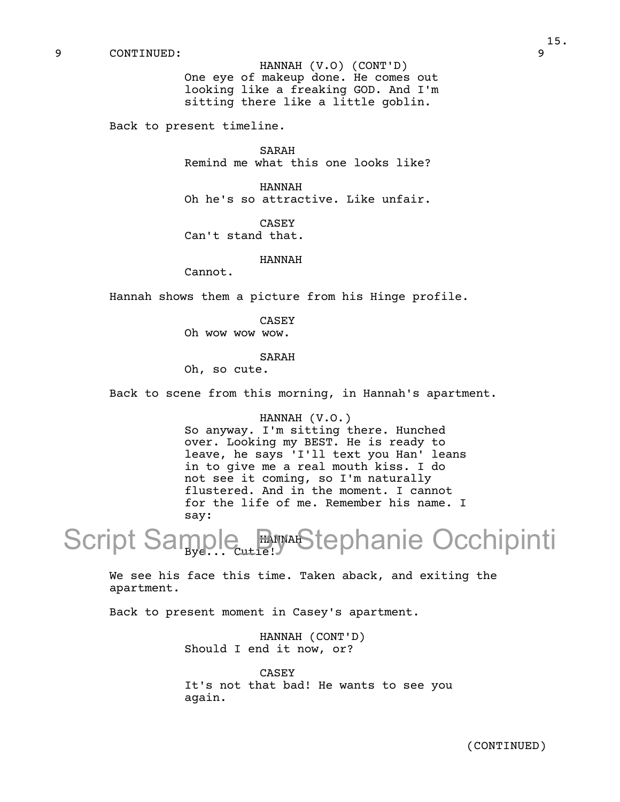9 CONTINUED: 9

HANNAH (V.O) (CONT'D) One eye of makeup done. He comes out looking like a freaking GOD. And I'm sitting there like a little goblin.

Back to present timeline.

SARAH Remind me what this one looks like?

HANNAH Oh he's so attractive. Like unfair.

CASEY Can't stand that.

#### HANNAH

Cannot.

Hannah shows them a picture from his Hinge profile.

CASEY Oh wow wow wow.

#### SARAH

Oh, so cute.

Back to scene from this morning, in Hannah's apartment.

### HANNAH (V.O.)

So anyway. I'm sitting there. Hunched over. Looking my BEST. He is ready to leave, he says 'I'll text you Han' leans in to give me a real mouth kiss. I do not see it coming, so I'm naturally flustered. And in the moment. I cannot for the life of me. Remember his name. I say:

HANNAH Script Sample By AStephanie Occhipinti

We see his face this time. Taken aback, and exiting the apartment.

Back to present moment in Casey's apartment.

HANNAH (CONT'D) Should I end it now, or?

CASEY It's not that bad! He wants to see you again.